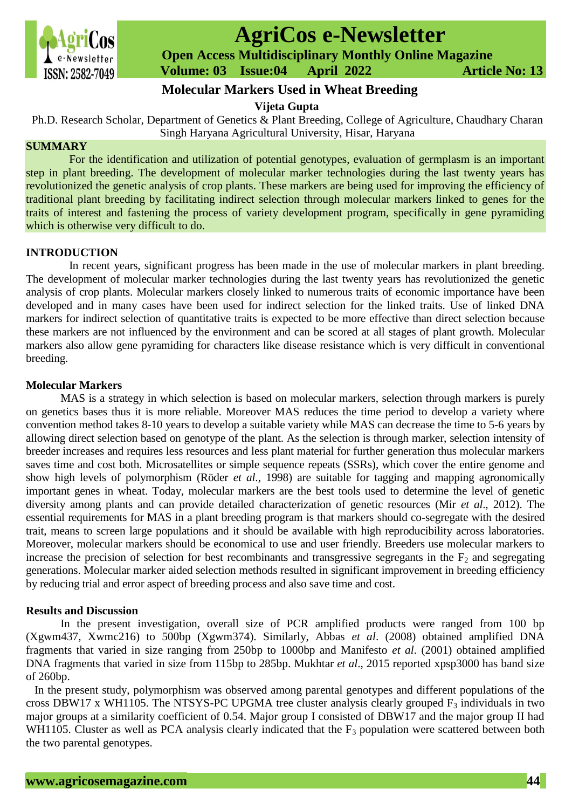

# **AgriCos e-Newsletter**

 **Open Access Multidisciplinary Monthly Online Magazine**

 **ISSN: 2582-7049 Volume: 03 Issue:04 April 2022 Article No: 13** 

## **Molecular Markers Used in Wheat Breeding**

**Vijeta Gupta**

Ph.D. Research Scholar, Department of Genetics & Plant Breeding, College of Agriculture, Chaudhary Charan Singh Haryana Agricultural University, Hisar, Haryana

#### **SUMMARY**

For the identification and utilization of potential genotypes, evaluation of germplasm is an important step in plant breeding. The development of molecular marker technologies during the last twenty years has revolutionized the genetic analysis of crop plants. These markers are being used for improving the efficiency of traditional plant breeding by facilitating indirect selection through molecular markers linked to genes for the traits of interest and fastening the process of variety development program, specifically in gene pyramiding which is otherwise very difficult to do.

#### **INTRODUCTION**

In recent years, significant progress has been made in the use of molecular markers in plant breeding. The development of molecular marker technologies during the last twenty years has revolutionized the genetic analysis of crop plants. Molecular markers closely linked to numerous traits of economic importance have been developed and in many cases have been used for indirect selection for the linked traits. Use of linked DNA markers for indirect selection of quantitative traits is expected to be more effective than direct selection because these markers are not influenced by the environment and can be scored at all stages of plant growth. Molecular markers also allow gene pyramiding for characters like disease resistance which is very difficult in conventional breeding.

#### **Molecular Markers**

MAS is a strategy in which selection is based on molecular markers, selection through markers is purely on genetics bases thus it is more reliable. Moreover MAS reduces the time period to develop a variety where convention method takes 8-10 years to develop a suitable variety while MAS can decrease the time to 5-6 years by allowing direct selection based on genotype of the plant. As the selection is through marker, selection intensity of breeder increases and requires less resources and less plant material for further generation thus molecular markers saves time and cost both. Microsatellites or simple sequence repeats (SSRs), which cover the entire genome and show high levels of polymorphism (Röder *et al*., 1998) are suitable for tagging and mapping agronomically important genes in wheat. Today, molecular markers are the best tools used to determine the level of genetic diversity among plants and can provide detailed characterization of genetic resources (Mir *et al*., 2012). The essential requirements for MAS in a plant breeding program is that markers should co-segregate with the desired trait, means to screen large populations and it should be available with high reproducibility across laboratories. Moreover, molecular markers should be economical to use and user friendly. Breeders use molecular markers to increase the precision of selection for best recombinants and transgressive segregants in the  $F_2$  and segregating generations. Molecular marker aided selection methods resulted in significant improvement in breeding efficiency by reducing trial and error aspect of breeding process and also save time and cost.

### **Results and Discussion**

In the present investigation, overall size of PCR amplified products were ranged from 100 bp (Xgwm437, Xwmc216) to 500bp (Xgwm374). Similarly, Abbas *et al*. (2008) obtained amplified DNA fragments that varied in size ranging from 250bp to 1000bp and Manifesto *et al*. (2001) obtained amplified DNA fragments that varied in size from 115bp to 285bp. Mukhtar *et al*., 2015 reported xpsp3000 has band size of 260bp.

In the present study, polymorphism was observed among parental genotypes and different populations of the cross DBW17 x WH1105. The NTSYS-PC UPGMA tree cluster analysis clearly grouped  $F_3$  individuals in two major groups at a similarity coefficient of 0.54. Major group I consisted of DBW17 and the major group II had WH1105. Cluster as well as PCA analysis clearly indicated that the  $F_3$  population were scattered between both the two parental genotypes.